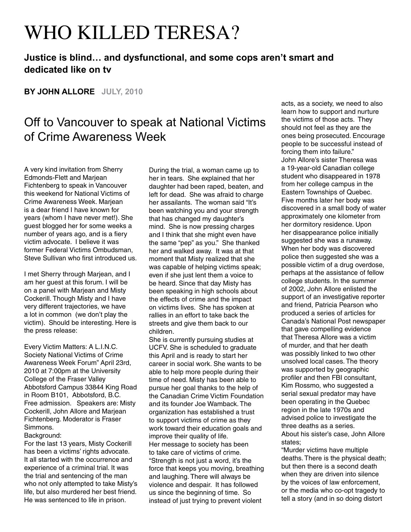## WHO KILLED TERESA?

## **Justice is blind… and dysfunctional, and some cops aren't smart and dedicated like on tv**

**BY JOHN ALLORE JULY, 2010**

## Off to Vancouver to speak at National Victims of Crime Awareness Week

A very kind invitation from Sherry Edmonds-Flett and Marjean Fichtenberg to speak in Vancouver this weekend for National Victims of Crime Awareness Week. Marjean is a dear friend I have known for years (whom I have never met!). She guest blogged her for some weeks a number of years ago, and is a fiery victim advocate. I believe it was former Federal Victims Ombudsman, Steve Sullivan who first introduced us.

I met Sherry through Marjean, and I am her guest at this forum. I will be on a panel with Marjean and Misty Cockerill. Though Misty and I have very different trajectories, we have a lot in common (we don't play the victim). Should be interesting. Here is the press release:

Every Victim Matters: A L.I.N.C. Society National Victims of Crime Awareness Week Forum" April 23rd, 2010 at 7:00pm at the University College of the Fraser Valley Abbotsford Campus 33844 King Road in Room B101, Abbotsford, B.C. Free admission. Speakers are: Misty Cockerill, John Allore and Marjean Fichtenberg. Moderator is Fraser Simmons.

Background:

For the last 13 years, Misty Cockerill has been a victims' rights advocate. It all started with the occurrence and experience of a criminal trial. It was the trial and sentencing of the man who not only attempted to take Misty's life, but also murdered her best friend. He was sentenced to life in prison.

During the trial, a woman came up to her in tears. She explained that her daughter had been raped, beaten, and left for dead. She was afraid to charge her assailants. The woman said "It's been watching you and your strength that has changed my daughter's mind. She is now pressing charges and I think that she might even have the same "pep" as you." She thanked her and walked away. It was at that moment that Misty realized that she was capable of helping victims speak; even if she just lent them a voice to be heard. Since that day Misty has been speaking in high schools about the effects of crime and the impact on victims lives. She has spoken at rallies in an effort to take back the streets and give them back to our children.

She is currently pursuing studies at UCFV. She is scheduled to graduate this April and is ready to start her career in social work. She wants to be able to help more people during their time of need. Misty has been able to pursue her goal thanks to the help of the Canadian Crime Victim Foundation and its founder Joe Wamback. The organization has established a trust to support victims of crime as they work toward their education goals and improve their quality of life. Her message to society has been to take care of victims of crime. "Strength is not just a word, it's the force that keeps you moving, breathing and laughing. There will always be violence and despair. It has followed us since the beginning of time. So instead of just trying to prevent violent

acts, as a society, we need to also learn how to support and nurture the victims of those acts. They should not feel as they are the ones being prosecuted. Encourage people to be successful instead of forcing them into failure." John Allore's sister Theresa was a 19-year-old Canadian college student who disappeared in 1978 from her college campus in the Eastern Townships of Quebec. Five months later her body was discovered in a small body of water approximately one kilometer from her dormitory residence. Upon her disappearance police initially suggested she was a runaway. When her body was discovered police then suggested she was a possible victim of a drug overdose, perhaps at the assistance of fellow college students. In the summer of 2002, John Allore enlisted the support of an investigative reporter and friend, Patricia Pearson who produced a series of articles for Canada's National Post newspaper that gave compelling evidence that Theresa Allore was a victim of murder, and that her death was possibly linked to two other unsolved local cases. The theory was supported by geographic profiler and then FBI consultant, Kim Rossmo, who suggested a serial sexual predator may have been operating in the Quebec region in the late 1970s and advised police to investigate the three deaths as a series. About his sister's case, John Allore states;

"Murder victims have multiple deaths. There is the physical death; but then there is a second death when they are driven into silence by the voices of law enforcement, or the media who co-opt tragedy to tell a story (and in so doing distort